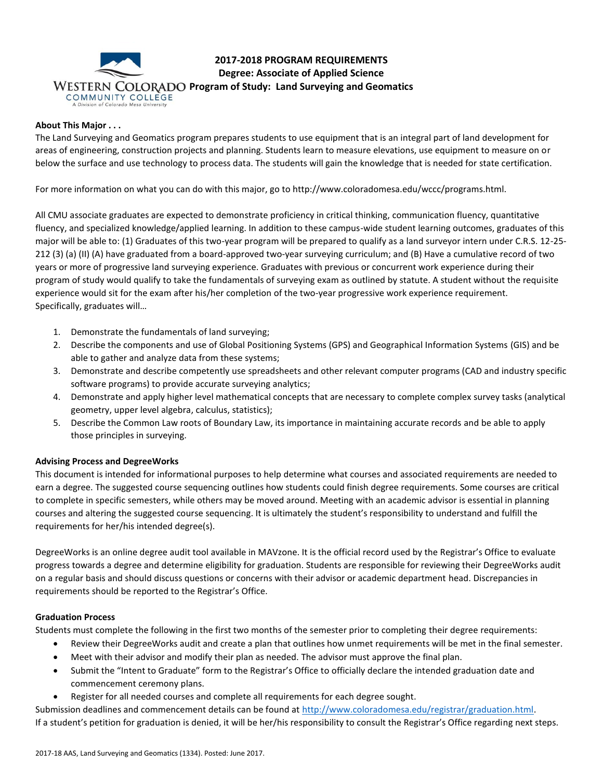

**2017-2018 PROGRAM REQUIREMENTS Degree: Associate of Applied Science WESTERN COLORADO Program of Study: Land Surveying and Geomatics** 

# **About This Major . . .**

The Land Surveying and Geomatics program prepares students to use equipment that is an integral part of land development for areas of engineering, construction projects and planning. Students learn to measure elevations, use equipment to measure on or below the surface and use technology to process data. The students will gain the knowledge that is needed for state certification.

For more information on what you can do with this major, go to http://www.coloradomesa.edu/wccc/programs.html.

All CMU associate graduates are expected to demonstrate proficiency in critical thinking, communication fluency, quantitative fluency, and specialized knowledge/applied learning. In addition to these campus-wide student learning outcomes, graduates of this major will be able to: (1) Graduates of this two-year program will be prepared to qualify as a land surveyor intern under C.R.S. 12-25- 212 (3) (a) (II) (A) have graduated from a board-approved two-year surveying curriculum; and (B) Have a cumulative record of two years or more of progressive land surveying experience. Graduates with previous or concurrent work experience during their program of study would qualify to take the fundamentals of surveying exam as outlined by statute. A student without the requisite experience would sit for the exam after his/her completion of the two-year progressive work experience requirement. Specifically, graduates will…

- 1. Demonstrate the fundamentals of land surveying;
- 2. Describe the components and use of Global Positioning Systems (GPS) and Geographical Information Systems (GIS) and be able to gather and analyze data from these systems;
- 3. Demonstrate and describe competently use spreadsheets and other relevant computer programs (CAD and industry specific software programs) to provide accurate surveying analytics;
- 4. Demonstrate and apply higher level mathematical concepts that are necessary to complete complex survey tasks (analytical geometry, upper level algebra, calculus, statistics);
- 5. Describe the Common Law roots of Boundary Law, its importance in maintaining accurate records and be able to apply those principles in surveying.

#### **Advising Process and DegreeWorks**

This document is intended for informational purposes to help determine what courses and associated requirements are needed to earn a degree. The suggested course sequencing outlines how students could finish degree requirements. Some courses are critical to complete in specific semesters, while others may be moved around. Meeting with an academic advisor is essential in planning courses and altering the suggested course sequencing. It is ultimately the student's responsibility to understand and fulfill the requirements for her/his intended degree(s).

DegreeWorks is an online degree audit tool available in MAVzone. It is the official record used by the Registrar's Office to evaluate progress towards a degree and determine eligibility for graduation. Students are responsible for reviewing their DegreeWorks audit on a regular basis and should discuss questions or concerns with their advisor or academic department head. Discrepancies in requirements should be reported to the Registrar's Office.

#### **Graduation Process**

Students must complete the following in the first two months of the semester prior to completing their degree requirements:

- Review their DegreeWorks audit and create a plan that outlines how unmet requirements will be met in the final semester.
- Meet with their advisor and modify their plan as needed. The advisor must approve the final plan.
- Submit the "Intent to Graduate" form to the Registrar's Office to officially declare the intended graduation date and commencement ceremony plans.
- Register for all needed courses and complete all requirements for each degree sought.

Submission deadlines and commencement details can be found at [http://www.coloradomesa.edu/registrar/graduation.html.](http://www.coloradomesa.edu/registrar/graduation.html) If a student's petition for graduation is denied, it will be her/his responsibility to consult the Registrar's Office regarding next steps.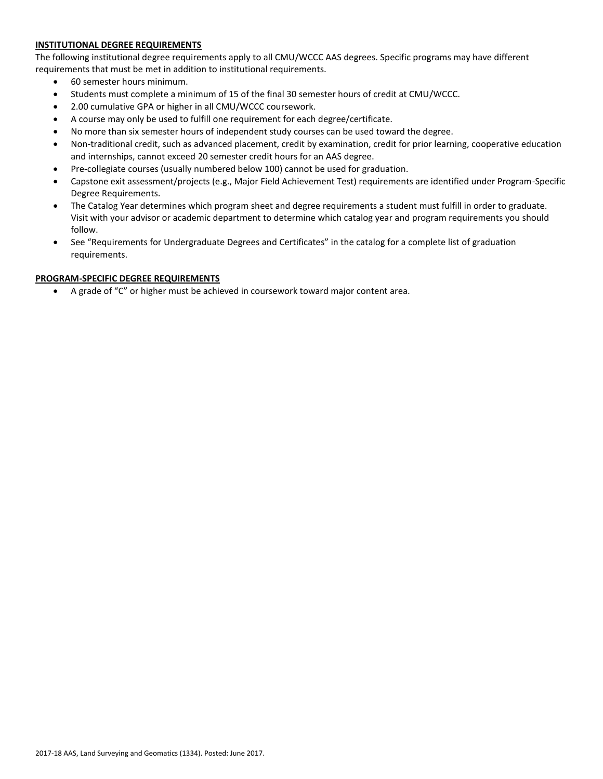### **INSTITUTIONAL DEGREE REQUIREMENTS**

The following institutional degree requirements apply to all CMU/WCCC AAS degrees. Specific programs may have different requirements that must be met in addition to institutional requirements.

- 60 semester hours minimum.
- Students must complete a minimum of 15 of the final 30 semester hours of credit at CMU/WCCC.
- 2.00 cumulative GPA or higher in all CMU/WCCC coursework.
- A course may only be used to fulfill one requirement for each degree/certificate.
- No more than six semester hours of independent study courses can be used toward the degree.
- Non-traditional credit, such as advanced placement, credit by examination, credit for prior learning, cooperative education and internships, cannot exceed 20 semester credit hours for an AAS degree.
- Pre-collegiate courses (usually numbered below 100) cannot be used for graduation.
- Capstone exit assessment/projects (e.g., Major Field Achievement Test) requirements are identified under Program-Specific Degree Requirements.
- The Catalog Year determines which program sheet and degree requirements a student must fulfill in order to graduate. Visit with your advisor or academic department to determine which catalog year and program requirements you should follow.
- See "Requirements for Undergraduate Degrees and Certificates" in the catalog for a complete list of graduation requirements.

### **PROGRAM-SPECIFIC DEGREE REQUIREMENTS**

A grade of "C" or higher must be achieved in coursework toward major content area.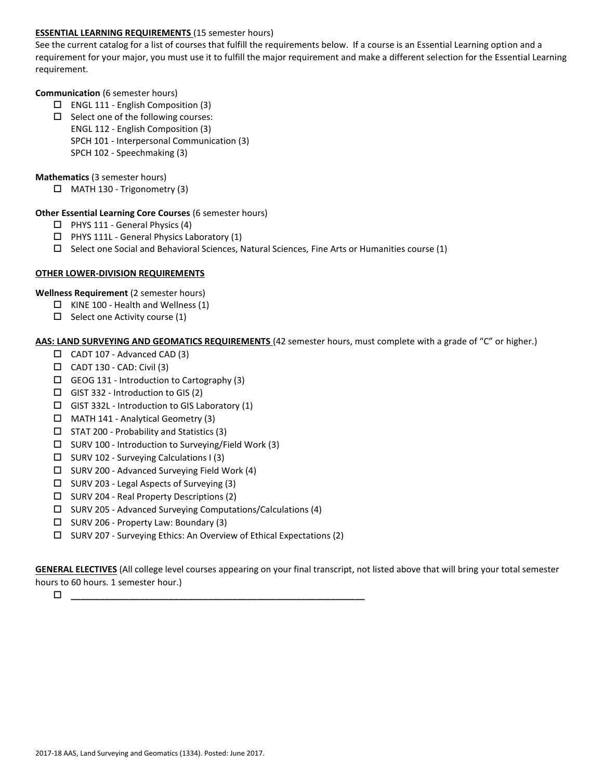### **ESSENTIAL LEARNING REQUIREMENTS** (15 semester hours)

See the current catalog for a list of courses that fulfill the requirements below. If a course is an Essential Learning option and a requirement for your major, you must use it to fulfill the major requirement and make a different selection for the Essential Learning requirement.

### **Communication** (6 semester hours)

- $\Box$  ENGL 111 English Composition (3)
- $\square$  Select one of the following courses:
	- ENGL 112 English Composition (3)
	- SPCH 101 Interpersonal Communication (3)
	- SPCH 102 Speechmaking (3)

## **Mathematics** (3 semester hours)

MATH 130 - Trigonometry (3)

### **Other Essential Learning Core Courses** (6 semester hours)

- $\Box$  PHYS 111 General Physics (4)
- $\Box$  PHYS 111L General Physics Laboratory (1)
- $\square$  Select one Social and Behavioral Sciences, Natural Sciences, Fine Arts or Humanities course (1)

# **OTHER LOWER-DIVISION REQUIREMENTS**

**Wellness Requirement** (2 semester hours)

- $\Box$  KINE 100 Health and Wellness (1)
- $\Box$  Select one Activity course (1)

## **AAS: LAND SURVEYING AND GEOMATICS REQUIREMENTS** (42 semester hours, must complete with a grade of "C" or higher.)

- CADT 107 Advanced CAD (3)
- $\Box$  CADT 130 CAD: Civil (3)
- $\Box$  GEOG 131 Introduction to Cartography (3)
- $\Box$  GIST 332 Introduction to GIS (2)
- $\Box$  GIST 332L Introduction to GIS Laboratory (1)
- $\Box$  MATH 141 Analytical Geometry (3)
- $\square$  STAT 200 Probability and Statistics (3)
- $\square$  SURV 100 Introduction to Surveying/Field Work (3)
- $\square$  SURV 102 Surveying Calculations I (3)
- SURV 200 Advanced Surveying Field Work (4)
- $\square$  SURV 203 Legal Aspects of Surveying (3)
- SURV 204 Real Property Descriptions (2)
- $\square$  SURV 205 Advanced Surveying Computations/Calculations (4)
- $\square$  SURV 206 Property Law: Boundary (3)
- $\square$  SURV 207 Surveying Ethics: An Overview of Ethical Expectations (2)

**GENERAL ELECTIVES** (All college level courses appearing on your final transcript, not listed above that will bring your total semester hours to 60 hours. 1 semester hour.)

**\_\_\_\_\_\_\_\_\_\_\_\_\_\_\_\_\_\_\_\_\_\_\_\_\_\_\_\_\_\_\_\_\_\_\_\_\_\_\_\_\_\_\_\_\_\_\_\_\_\_\_\_\_\_\_\_\_\_\_\_**